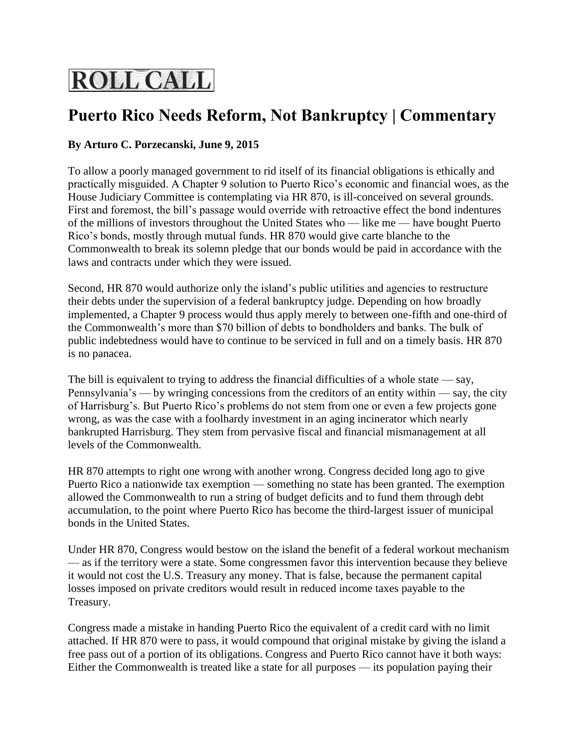## **ROLL CALL**

## **Puerto Rico Needs Reform, Not Bankruptcy | Commentary**

## **By Arturo C. Porzecanski, June 9, 2015**

To allow a poorly managed government to rid itself of its financial obligations is ethically and practically misguided. A Chapter 9 solution to Puerto Rico's economic and financial woes, as the House Judiciary Committee is contemplating via [HR 870,](http://cdn1.cq.com/billcards/114/HR870-114.html) is ill-conceived on several grounds. First and foremost, the bill's passage would override with retroactive effect the bond indentures of the millions of investors throughout the United States who — like me — have bought Puerto Rico's bonds, mostly through mutual funds. [HR 870](http://cdn1.cq.com/billcards/114/HR870-114.html) would give carte blanche to the Commonwealth to break its solemn pledge that our bonds would be paid in accordance with the laws and contracts under which they were issued.

Second, [HR 870](http://cdn1.cq.com/billcards/114/HR870-114.html) would authorize only the island's public utilities and agencies to restructure their debts under the supervision of a federal bankruptcy judge. Depending on how broadly implemented, a Chapter 9 process would thus apply merely to between one-fifth and one-third of the Commonwealth's more than \$70 billion of debts to bondholders and banks. The bulk of public indebtedness would have to continue to be serviced in full and on a timely basis. [HR 870](http://cdn1.cq.com/billcards/114/HR870-114.html) is no panacea.

The bill is equivalent to trying to address the financial difficulties of a whole state  $-\infty$ , Pennsylvania's — by wringing concessions from the creditors of an entity within — say, the city of Harrisburg's. But Puerto Rico's problems do not stem from one or even a few projects gone wrong, as was the case with a foolhardy investment in an aging incinerator which nearly bankrupted Harrisburg. They stem from pervasive fiscal and financial mismanagement at all levels of the Commonwealth.

[HR 870](http://cdn1.cq.com/billcards/114/HR870-114.html) attempts to right one wrong with another wrong. Congress decided long ago to give Puerto Rico a nationwide tax exemption — something no state has been granted. The exemption allowed the Commonwealth to run a string of budget deficits and to fund them through debt accumulation, to the point where Puerto Rico has become the third-largest issuer of municipal bonds in the United States.

Under [HR 870,](http://cdn1.cq.com/billcards/114/HR870-114.html) Congress would bestow on the island the benefit of a federal workout mechanism — as if the territory were a state. Some congressmen favor this intervention because they believe it would not cost the U.S. Treasury any money. That is false, because the permanent capital losses imposed on private creditors would result in reduced income taxes payable to the Treasury.

Congress made a mistake in handing Puerto Rico the equivalent of a credit card with no limit attached. If [HR 870](http://cdn1.cq.com/billcards/114/HR870-114.html) were to pass, it would compound that original mistake by giving the island a free pass out of a portion of its obligations. Congress and Puerto Rico cannot have it both ways: Either the Commonwealth is treated like a state for all purposes — its population paying their